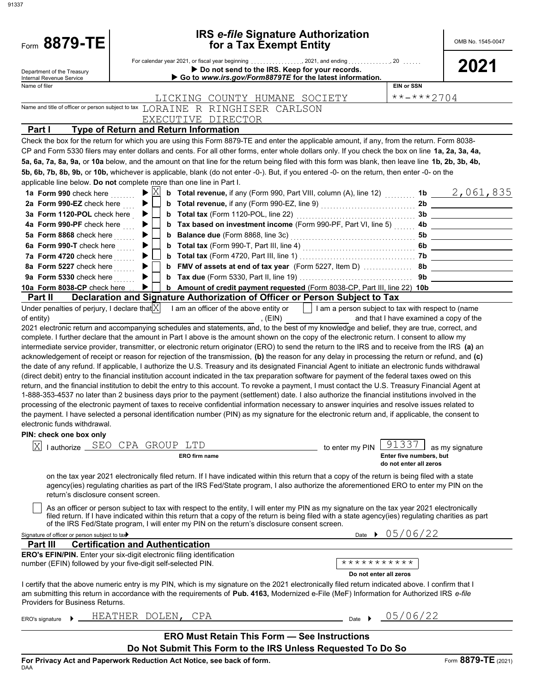| Form 8879-TE                                                   |                                                                                                                                                                                                                                                                                                                                                                                                                                                                                                                                                                                                                                                                                                                                                                                                                                                                                                                                                                                                                                                                            | <b>IRS e-file Signature Authorization</b>                                                                           |                                                   | OMB No. 1545-0047 |
|----------------------------------------------------------------|----------------------------------------------------------------------------------------------------------------------------------------------------------------------------------------------------------------------------------------------------------------------------------------------------------------------------------------------------------------------------------------------------------------------------------------------------------------------------------------------------------------------------------------------------------------------------------------------------------------------------------------------------------------------------------------------------------------------------------------------------------------------------------------------------------------------------------------------------------------------------------------------------------------------------------------------------------------------------------------------------------------------------------------------------------------------------|---------------------------------------------------------------------------------------------------------------------|---------------------------------------------------|-------------------|
|                                                                |                                                                                                                                                                                                                                                                                                                                                                                                                                                                                                                                                                                                                                                                                                                                                                                                                                                                                                                                                                                                                                                                            | for a Tax Exempt Entity                                                                                             |                                                   |                   |
| Department of the Treasury<br>Internal Revenue Service         |                                                                                                                                                                                                                                                                                                                                                                                                                                                                                                                                                                                                                                                                                                                                                                                                                                                                                                                                                                                                                                                                            | Do not send to the IRS. Keep for your records.<br>Go to www.irs.gov/Form8879TE for the latest information.          |                                                   | 2021              |
| Name of filer                                                  |                                                                                                                                                                                                                                                                                                                                                                                                                                                                                                                                                                                                                                                                                                                                                                                                                                                                                                                                                                                                                                                                            |                                                                                                                     | <b>EIN or SSN</b>                                 |                   |
|                                                                | LICKING COUNTY HUMANE SOCIETY                                                                                                                                                                                                                                                                                                                                                                                                                                                                                                                                                                                                                                                                                                                                                                                                                                                                                                                                                                                                                                              |                                                                                                                     | $***$ $***$ 2704                                  |                   |
|                                                                | Name and title of officer or person subject to tax LORAINE R RINGHISER CARLSON                                                                                                                                                                                                                                                                                                                                                                                                                                                                                                                                                                                                                                                                                                                                                                                                                                                                                                                                                                                             |                                                                                                                     |                                                   |                   |
|                                                                | EXECUTIVE DIRECTOR                                                                                                                                                                                                                                                                                                                                                                                                                                                                                                                                                                                                                                                                                                                                                                                                                                                                                                                                                                                                                                                         |                                                                                                                     |                                                   |                   |
| Part I                                                         | <b>Type of Return and Return Information</b>                                                                                                                                                                                                                                                                                                                                                                                                                                                                                                                                                                                                                                                                                                                                                                                                                                                                                                                                                                                                                               |                                                                                                                     |                                                   |                   |
|                                                                | Check the box for the return for which you are using this Form 8879-TE and enter the applicable amount, if any, from the return. Form 8038-<br>CP and Form 5330 filers may enter dollars and cents. For all other forms, enter whole dollars only. If you check the box on line 1a, 2a, 3a, 4a,<br>5a, 6a, 7a, 8a, 9a, or 10a below, and the amount on that line for the return being filed with this form was blank, then leave line 1b, 2b, 3b, 4b,                                                                                                                                                                                                                                                                                                                                                                                                                                                                                                                                                                                                                      |                                                                                                                     |                                                   |                   |
|                                                                | 5b, 6b, 7b, 8b, 9b, or 10b, whichever is applicable, blank (do not enter -0-). But, if you entered -0- on the return, then enter -0- on the                                                                                                                                                                                                                                                                                                                                                                                                                                                                                                                                                                                                                                                                                                                                                                                                                                                                                                                                |                                                                                                                     |                                                   |                   |
|                                                                | applicable line below. Do not complete more than one line in Part I.<br>X                                                                                                                                                                                                                                                                                                                                                                                                                                                                                                                                                                                                                                                                                                                                                                                                                                                                                                                                                                                                  |                                                                                                                     |                                                   |                   |
| 1a Form 990 check here                                         | ▶                                                                                                                                                                                                                                                                                                                                                                                                                                                                                                                                                                                                                                                                                                                                                                                                                                                                                                                                                                                                                                                                          | <b>b</b> Total revenue, if any (Form 990, Part VIII, column (A), line 12)  1b $\frac{2,061,835}{\cdots}$            |                                                   |                   |
| 2a Form 990-EZ check here<br>3a Form 1120-POL check here       | ▶                                                                                                                                                                                                                                                                                                                                                                                                                                                                                                                                                                                                                                                                                                                                                                                                                                                                                                                                                                                                                                                                          |                                                                                                                     |                                                   |                   |
| 4a Form 990-PF check here                                      |                                                                                                                                                                                                                                                                                                                                                                                                                                                                                                                                                                                                                                                                                                                                                                                                                                                                                                                                                                                                                                                                            | b Tax based on investment income (Form 990-PF, Part VI, line 5)  4b _________________________                       |                                                   |                   |
| 5a Form 8868 check here                                        |                                                                                                                                                                                                                                                                                                                                                                                                                                                                                                                                                                                                                                                                                                                                                                                                                                                                                                                                                                                                                                                                            |                                                                                                                     |                                                   |                   |
| 6a Form 990-T check here                                       |                                                                                                                                                                                                                                                                                                                                                                                                                                                                                                                                                                                                                                                                                                                                                                                                                                                                                                                                                                                                                                                                            |                                                                                                                     |                                                   |                   |
| 7a Form 4720 check here                                        |                                                                                                                                                                                                                                                                                                                                                                                                                                                                                                                                                                                                                                                                                                                                                                                                                                                                                                                                                                                                                                                                            |                                                                                                                     |                                                   |                   |
| 8a Form 5227 check here                                        |                                                                                                                                                                                                                                                                                                                                                                                                                                                                                                                                                                                                                                                                                                                                                                                                                                                                                                                                                                                                                                                                            |                                                                                                                     |                                                   |                   |
| 9a Form 5330 check here $\ldots$                               |                                                                                                                                                                                                                                                                                                                                                                                                                                                                                                                                                                                                                                                                                                                                                                                                                                                                                                                                                                                                                                                                            |                                                                                                                     |                                                   |                   |
| 10a Form 8038-CP check here                                    | ▶                                                                                                                                                                                                                                                                                                                                                                                                                                                                                                                                                                                                                                                                                                                                                                                                                                                                                                                                                                                                                                                                          | b Amount of credit payment requested (Form 8038-CP, Part III, line 22) 10b                                          |                                                   |                   |
| <b>Part II</b>                                                 | Declaration and Signature Authorization of Officer or Person Subject to Tax                                                                                                                                                                                                                                                                                                                                                                                                                                                                                                                                                                                                                                                                                                                                                                                                                                                                                                                                                                                                |                                                                                                                     |                                                   |                   |
| Under penalties of perjury, I declare that $ X $<br>of entity) |                                                                                                                                                                                                                                                                                                                                                                                                                                                                                                                                                                                                                                                                                                                                                                                                                                                                                                                                                                                                                                                                            | I am an officer of the above entity or     I am a person subject to tax with respect to (name<br>E(N)               | and that I have examined a copy of the            |                   |
|                                                                | 2021 electronic return and accompanying schedules and statements, and, to the best of my knowledge and belief, they are true, correct, and<br>complete. I further declare that the amount in Part I above is the amount shown on the copy of the electronic return. I consent to allow my                                                                                                                                                                                                                                                                                                                                                                                                                                                                                                                                                                                                                                                                                                                                                                                  |                                                                                                                     |                                                   |                   |
| electronic funds withdrawal.                                   | acknowledgement of receipt or reason for rejection of the transmission, (b) the reason for any delay in processing the return or refund, and (c)<br>the date of any refund. If applicable, I authorize the U.S. Treasury and its designated Financial Agent to initiate an electronic funds withdrawal<br>(direct debit) entry to the financial institution account indicated in the tax preparation software for payment of the federal taxes owed on this<br>return, and the financial institution to debit the entry to this account. To revoke a payment, I must contact the U.S. Treasury Financial Agent at<br>1-888-353-4537 no later than 2 business days prior to the payment (settlement) date. I also authorize the financial institutions involved in the<br>processing of the electronic payment of taxes to receive confidential information necessary to answer inquiries and resolve issues related to<br>the payment. I have selected a personal identification number (PIN) as my signature for the electronic return and, if applicable, the consent to |                                                                                                                     |                                                   |                   |
| PIN: check one box only                                        |                                                                                                                                                                                                                                                                                                                                                                                                                                                                                                                                                                                                                                                                                                                                                                                                                                                                                                                                                                                                                                                                            |                                                                                                                     | .33                                               |                   |
| I authorize SEO<br>X                                           | CPA GROUP LTD<br><b>ERO</b> firm name                                                                                                                                                                                                                                                                                                                                                                                                                                                                                                                                                                                                                                                                                                                                                                                                                                                                                                                                                                                                                                      | to enter my PIN                                                                                                     | Enter five numbers, but<br>do not enter all zeros | as my signature   |
| return's disclosure consent screen.                            | on the tax year 2021 electronically filed return. If I have indicated within this return that a copy of the return is being filed with a state<br>agency(ies) regulating charities as part of the IRS Fed/State program, I also authorize the aforementioned ERO to enter my PIN on the                                                                                                                                                                                                                                                                                                                                                                                                                                                                                                                                                                                                                                                                                                                                                                                    |                                                                                                                     |                                                   |                   |
|                                                                | As an officer or person subject to tax with respect to the entity, I will enter my PIN as my signature on the tax year 2021 electronically<br>filed return. If I have indicated within this return that a copy of the return is being filed with a state agency(ies) regulating charities as part<br>of the IRS Fed/State program, I will enter my PIN on the return's disclosure consent screen.                                                                                                                                                                                                                                                                                                                                                                                                                                                                                                                                                                                                                                                                          |                                                                                                                     |                                                   |                   |
| Signature of officer or person subject to tax                  |                                                                                                                                                                                                                                                                                                                                                                                                                                                                                                                                                                                                                                                                                                                                                                                                                                                                                                                                                                                                                                                                            | Date $\rightarrow$                                                                                                  | 05/06/22                                          |                   |
| Part III                                                       | <b>Certification and Authentication</b>                                                                                                                                                                                                                                                                                                                                                                                                                                                                                                                                                                                                                                                                                                                                                                                                                                                                                                                                                                                                                                    |                                                                                                                     |                                                   |                   |
|                                                                | <b>ERO's EFIN/PIN.</b> Enter your six-digit electronic filing identification<br>number (EFIN) followed by your five-digit self-selected PIN.                                                                                                                                                                                                                                                                                                                                                                                                                                                                                                                                                                                                                                                                                                                                                                                                                                                                                                                               | ***********<br>Do not enter all zeros                                                                               |                                                   |                   |
| Providers for Business Returns.                                | I certify that the above numeric entry is my PIN, which is my signature on the 2021 electronically filed return indicated above. I confirm that I<br>am submitting this return in accordance with the requirements of Pub. 4163, Modernized e-File (MeF) Information for Authorized IRS e-file                                                                                                                                                                                                                                                                                                                                                                                                                                                                                                                                                                                                                                                                                                                                                                             |                                                                                                                     |                                                   |                   |
| ERO's signature                                                | HEATHER DOLEN, CPA                                                                                                                                                                                                                                                                                                                                                                                                                                                                                                                                                                                                                                                                                                                                                                                                                                                                                                                                                                                                                                                         | Date $\rightarrow$                                                                                                  | 05/06/22                                          |                   |
|                                                                |                                                                                                                                                                                                                                                                                                                                                                                                                                                                                                                                                                                                                                                                                                                                                                                                                                                                                                                                                                                                                                                                            | <b>ERO Must Retain This Form - See Instructions</b><br>Do Not Submit This Form to the IRS Unless Requested To Do So |                                                   |                   |
|                                                                |                                                                                                                                                                                                                                                                                                                                                                                                                                                                                                                                                                                                                                                                                                                                                                                                                                                                                                                                                                                                                                                                            |                                                                                                                     |                                                   |                   |

91337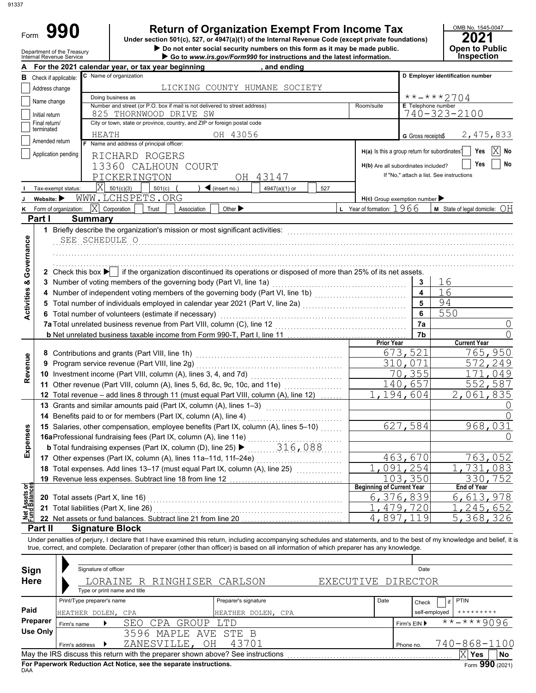|   | 990<br>Form<br>Department of the Treasury<br>Internal Revenue Service |                      |                                                                            | <b>Return of Organization Exempt From Income Tax</b><br>Under section 501(c), 527, or 4947(a)(1) of the Internal Revenue Code (except private foundations)<br>Do not enter social security numbers on this form as it may be made public.<br>$\triangleright$ Go to www.irs.gov/Form990 for instructions and the latest information. |            |                                                    | OMB No. 1545-0<br>2021<br>Open to Pul<br>Inspectio |
|---|-----------------------------------------------------------------------|----------------------|----------------------------------------------------------------------------|--------------------------------------------------------------------------------------------------------------------------------------------------------------------------------------------------------------------------------------------------------------------------------------------------------------------------------------|------------|----------------------------------------------------|----------------------------------------------------|
|   |                                                                       |                      | For the 2021 calendar year, or tax year beginning                          | and ending                                                                                                                                                                                                                                                                                                                           |            |                                                    |                                                    |
| в | Check if applicable:                                                  |                      | <b>C</b> Name of organization                                              |                                                                                                                                                                                                                                                                                                                                      |            |                                                    | D Employer identification number                   |
|   | Address change                                                        |                      | LICKING                                                                    | COUNTY HUMANE<br>SOCIETY                                                                                                                                                                                                                                                                                                             |            |                                                    |                                                    |
|   | Name change                                                           |                      | Doing business as                                                          |                                                                                                                                                                                                                                                                                                                                      |            | $***$ $***$ 2704                                   |                                                    |
|   |                                                                       |                      | Number and street (or P.O. box if mail is not delivered to street address) |                                                                                                                                                                                                                                                                                                                                      | Room/suite | <b>E</b> Telephone number                          |                                                    |
|   | Initial return                                                        | 825                  | THORNWOOD DRIVE SW                                                         |                                                                                                                                                                                                                                                                                                                                      |            | 740-323-2100                                       |                                                    |
|   | Final return/                                                         |                      | City or town, state or province, country, and ZIP or foreign postal code   |                                                                                                                                                                                                                                                                                                                                      |            |                                                    |                                                    |
|   | terminated                                                            | HEATH                | OH                                                                         | 43056                                                                                                                                                                                                                                                                                                                                |            | G Gross receipts\$                                 | 2,475,                                             |
|   | Amended return                                                        |                      | Name and address of principal officer:                                     |                                                                                                                                                                                                                                                                                                                                      |            |                                                    |                                                    |
|   | Application pending                                                   |                      | RICHARD ROGERS                                                             |                                                                                                                                                                                                                                                                                                                                      |            | H(a) Is this a group return for subordinates?      | Yes                                                |
|   |                                                                       | $\sim$ $\sim$ $\sim$ |                                                                            |                                                                                                                                                                                                                                                                                                                                      |            | <b>The Community Community Community Community</b> | $V_{\rm{max}}$                                     |

| OMB No. 1545-0047 |
|-------------------|
| 2021              |

| ----                  |
|-----------------------|
| <b>Open to Public</b> |
|                       |
| <b>Inspection</b>     |
|                       |

|                                |                                 |                | For the 2021 calendar year, or tax year beginning                                                                                                                          |                                   | and ending                    |           |                                               |                      |                                                |                 |
|--------------------------------|---------------------------------|----------------|----------------------------------------------------------------------------------------------------------------------------------------------------------------------------|-----------------------------------|-------------------------------|-----------|-----------------------------------------------|----------------------|------------------------------------------------|-----------------|
| в                              | Check if applicable:            |                | C Name of organization                                                                                                                                                     |                                   |                               |           |                                               |                      | D Employer identification number               |                 |
|                                | Address change                  |                |                                                                                                                                                                            |                                   | LICKING COUNTY HUMANE SOCIETY |           |                                               |                      |                                                |                 |
|                                | Name change                     |                | Doing business as                                                                                                                                                          |                                   |                               |           |                                               |                      | **-***2704                                     |                 |
|                                |                                 |                | Number and street (or P.O. box if mail is not delivered to street address)                                                                                                 |                                   |                               |           | Room/suite                                    | E Telephone number   | 740-323-2100                                   |                 |
|                                | Initial return<br>Final return/ |                | 825 THORNWOOD DRIVE SW<br>City or town, state or province, country, and ZIP or foreign postal code                                                                         |                                   |                               |           |                                               |                      |                                                |                 |
|                                | terminated                      |                |                                                                                                                                                                            |                                   |                               |           |                                               |                      |                                                |                 |
|                                | Amended return                  |                | HEATH<br>F Name and address of principal officer:                                                                                                                          | OH 43056                          |                               |           |                                               | G Gross receipts\$   |                                                | 2,475,833       |
|                                | Application pending             |                |                                                                                                                                                                            |                                   |                               |           | H(a) Is this a group return for subordinates? |                      |                                                | $ X $ No<br>Yes |
|                                |                                 |                | RICHARD ROGERS                                                                                                                                                             |                                   |                               |           |                                               |                      |                                                | Yes<br>No       |
|                                |                                 |                | 13360 CALHOUN COURT                                                                                                                                                        |                                   |                               |           | H(b) Are all subordinates included?           |                      | If "No," attach a list. See instructions       |                 |
|                                |                                 |                | PICKERINGTON                                                                                                                                                               |                                   | OH 43147                      |           |                                               |                      |                                                |                 |
|                                | Tax-exempt status:              |                | $ X $ 501(c)(3)<br>501(c)                                                                                                                                                  | $\blacktriangleleft$ (insert no.) | 4947(a)(1) or                 | 527       |                                               |                      |                                                |                 |
|                                | Website: $\blacktriangleright$  |                | WWW.LCHSPETS.ORG                                                                                                                                                           |                                   |                               |           | $H(c)$ Group exemption number                 |                      |                                                |                 |
| ĸ                              | Form of organization:           |                | $ X $ Corporation<br>Trust<br>Association                                                                                                                                  | Other $\blacktriangleright$       |                               |           | L Year of formation: $1966$                   |                      | <b>M</b> State of legal domicile: $\bigcirc$ H |                 |
|                                | Part I                          |                | <b>Summary</b>                                                                                                                                                             |                                   |                               |           |                                               |                      |                                                |                 |
|                                |                                 |                | 1 Briefly describe the organization's mission or most significant activities:                                                                                              |                                   |                               |           |                                               |                      |                                                |                 |
|                                |                                 |                | SEE SCHEDULE O                                                                                                                                                             |                                   |                               |           |                                               |                      |                                                |                 |
|                                |                                 |                |                                                                                                                                                                            |                                   |                               |           |                                               |                      |                                                |                 |
| Governance                     |                                 |                |                                                                                                                                                                            |                                   |                               |           |                                               |                      |                                                |                 |
|                                |                                 |                | 2 Check this box $\blacktriangleright$ if the organization discontinued its operations or disposed of more than 25% of its net assets.                                     |                                   |                               |           |                                               |                      |                                                |                 |
|                                |                                 |                |                                                                                                                                                                            |                                   |                               |           |                                               | 3                    | 16                                             |                 |
|                                |                                 |                |                                                                                                                                                                            |                                   |                               |           |                                               | $\blacktriangle$     | 16                                             |                 |
|                                |                                 |                |                                                                                                                                                                            |                                   |                               |           |                                               | 5                    | 94                                             |                 |
| <b>Activities &amp;</b>        |                                 |                | 6 Total number of volunteers (estimate if necessary)                                                                                                                       |                                   |                               |           |                                               | 6                    | 550                                            |                 |
|                                |                                 |                | 7a Total unrelated business revenue from Part VIII, column (C), line 12                                                                                                    |                                   |                               |           |                                               | 7a                   |                                                | 0               |
|                                |                                 |                |                                                                                                                                                                            |                                   |                               |           |                                               | 7b                   |                                                |                 |
|                                |                                 |                |                                                                                                                                                                            |                                   |                               |           | <b>Prior Year</b>                             |                      | <b>Current Year</b>                            |                 |
|                                |                                 |                |                                                                                                                                                                            |                                   |                               |           |                                               | 673,521              |                                                | 765,950         |
|                                |                                 |                | 9 Program service revenue (Part VIII, line 2g)                                                                                                                             |                                   |                               |           |                                               | 310,071              |                                                | 572,249         |
| Revenue                        |                                 |                |                                                                                                                                                                            |                                   |                               |           |                                               | 70,355               |                                                | 171,049         |
|                                |                                 |                | 11 Other revenue (Part VIII, column (A), lines 5, 6d, 8c, 9c, 10c, and 11e) [[[[[[[[[[[[[[[[[[[[[[[[[[[[[[[[                                                               |                                   |                               |           |                                               | 140,657              |                                                | 552,587         |
|                                |                                 |                | 12 Total revenue - add lines 8 through 11 (must equal Part VIII, column (A), line 12)                                                                                      |                                   |                               |           |                                               | 1,194,604            |                                                | 2,061,835       |
|                                |                                 |                | 13 Grants and similar amounts paid (Part IX, column (A), lines 1-3)                                                                                                        |                                   |                               |           |                                               |                      |                                                |                 |
|                                |                                 |                | 14 Benefits paid to or for members (Part IX, column (A), line 4)                                                                                                           |                                   |                               |           |                                               |                      |                                                |                 |
|                                |                                 |                | 15 Salaries, other compensation, employee benefits (Part IX, column (A), lines 5-10)                                                                                       |                                   |                               |           |                                               | 627,584              |                                                | 968,031         |
| Expenses                       |                                 |                |                                                                                                                                                                            |                                   |                               |           |                                               |                      |                                                |                 |
|                                |                                 |                |                                                                                                                                                                            |                                   |                               |           |                                               |                      |                                                |                 |
|                                |                                 |                | 17 Other expenses (Part IX, column (A), lines 11a-11d, 11f-24e)                                                                                                            |                                   |                               |           |                                               | 463,670              |                                                | 763,052         |
|                                |                                 |                | 18 Total expenses. Add lines 13-17 (must equal Part IX, column (A), line 25) [                                                                                             |                                   |                               |           |                                               | 091,254              | 731,                                           | 083             |
|                                |                                 |                | 19 Revenue less expenses. Subtract line 18 from line 12                                                                                                                    |                                   |                               |           |                                               | $\overline{1}03,350$ |                                                | 330,752         |
| Net Assets or<br>Fund Balances |                                 |                |                                                                                                                                                                            |                                   |                               |           | <b>Beginning of Current Year</b>              |                      | End of Year                                    |                 |
|                                |                                 |                | 20 Total assets (Part X, line 16)                                                                                                                                          |                                   |                               |           |                                               | 6,376,839            |                                                | 6,613,978       |
|                                |                                 |                | 21 Total liabilities (Part X, line 26)                                                                                                                                     |                                   |                               |           |                                               | 479,720              |                                                | 245,652         |
|                                |                                 |                | 22 Net assets or fund balances. Subtract line 21 from line 20                                                                                                              |                                   |                               |           |                                               | 4,897,119            |                                                | 5,368,326       |
|                                | Part II                         |                | <b>Signature Block</b>                                                                                                                                                     |                                   |                               |           |                                               |                      |                                                |                 |
|                                |                                 |                | Under penalties of perjury, I declare that I have examined this return, including accompanying schedules and statements, and to the best of my knowledge and belief, it is |                                   |                               |           |                                               |                      |                                                |                 |
|                                |                                 |                | true, correct, and complete. Declaration of preparer (other than officer) is based on all information of which preparer has any knowledge.                                 |                                   |                               |           |                                               |                      |                                                |                 |
|                                |                                 |                |                                                                                                                                                                            |                                   |                               |           |                                               |                      |                                                |                 |
| Sign                           |                                 |                | Signature of officer                                                                                                                                                       |                                   |                               |           |                                               | Date                 |                                                |                 |
| <b>Here</b>                    |                                 |                | R RINGHISER CARLSON<br>LORAINE                                                                                                                                             |                                   |                               | EXECUTIVE |                                               | <b>DIRECTOR</b>      |                                                |                 |
|                                |                                 |                | Type or print name and title                                                                                                                                               |                                   |                               |           |                                               |                      |                                                |                 |
|                                |                                 |                | Print/Type preparer's name                                                                                                                                                 | Preparer's signature              |                               |           | Date                                          | Check                | PTIN<br>- it                                   |                 |
| Paid                           |                                 |                | HEATHER DOLEN, CPA                                                                                                                                                         |                                   | HEATHER DOLEN, CPA            |           |                                               |                      | $************$<br>self-employed                |                 |
|                                | Preparer                        | Firm's name    | <b>GROUP</b><br>SEO<br>CPA                                                                                                                                                 | LTD                               |                               |           |                                               | Firm's EIN ▶         | $\frac{1}{x}$ *-***9096                        |                 |
|                                | <b>Use Only</b>                 |                | 3596 MAPLE<br>AVE                                                                                                                                                          | STE B                             |                               |           |                                               |                      |                                                |                 |
|                                |                                 | Firm's address | ZANESVILLE,                                                                                                                                                                | 43701<br>OH                       |                               |           |                                               | Phone no.            | 740-868-1100                                   |                 |
|                                |                                 |                |                                                                                                                                                                            |                                   |                               |           |                                               |                      | $X$ Yes                                        | No              |

| Sign        |                | Signature of officer         |                                                                                 |                      |                    |      |              | Date          |                          |    |
|-------------|----------------|------------------------------|---------------------------------------------------------------------------------|----------------------|--------------------|------|--------------|---------------|--------------------------|----|
| <b>Here</b> |                | Type or print name and title | LORAINE R RINGHISER CARLSON                                                     |                      | EXECUTIVE DIRECTOR |      |              |               |                          |    |
|             |                | Print/Type preparer's name   |                                                                                 | Preparer's signature |                    | Date |              | Check         | <b>PTIN</b>              |    |
| Paid        |                | HEATHER DOLEN, CPA           |                                                                                 | HEATHER DOLEN, CPA   |                    |      |              | self-employed | *********                |    |
| Preparer    | Firm's name    |                              | CPA GROUP<br>SEO                                                                | T.TD                 |                    |      | Firm's EIN ▶ |               | $******9096$             |    |
| Use Only    |                |                              | 3596 MAPLE AVE STE B                                                            |                      |                    |      |              |               |                          |    |
|             | Firm's address |                              | ZANESVILLE, OH                                                                  | 43701                |                    |      | Phone no.    |               | 740-868-1100             |    |
|             |                |                              | May the IRS discuss this return with the preparer shown above? See instructions |                      |                    |      |              |               | <b>Yes</b>               | No |
|             |                |                              |                                                                                 |                      |                    |      |              |               | $\overline{\phantom{a}}$ |    |

**For Paperwork Reduction Act Notice, see the separate instructions.**<br><sub>DAA</sub>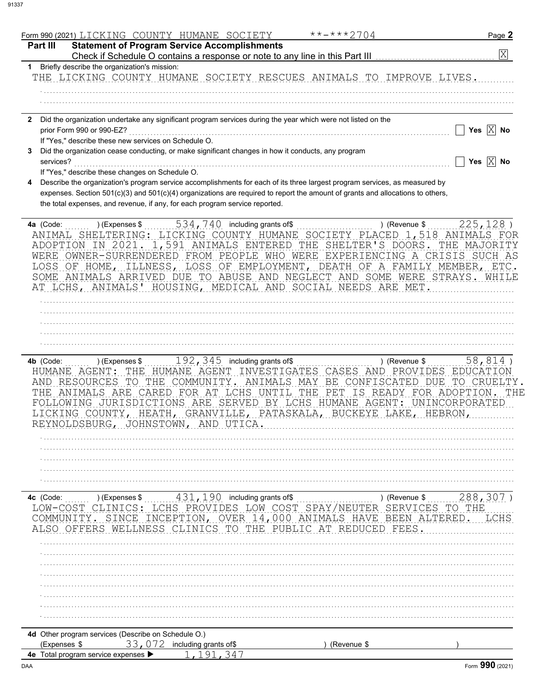| Form 990 (2021) LICKING COUNTY HUMANE SOCIETY                                                                                                                                                                                                                                                                                                                                                           | **-***2704                                                                                                          | Page 2                                 |
|---------------------------------------------------------------------------------------------------------------------------------------------------------------------------------------------------------------------------------------------------------------------------------------------------------------------------------------------------------------------------------------------------------|---------------------------------------------------------------------------------------------------------------------|----------------------------------------|
| <b>Statement of Program Service Accomplishments</b><br>Part III<br>Check if Schedule O contains a response or note to any line in this Part III                                                                                                                                                                                                                                                         |                                                                                                                     | $\overline{\mathrm{X}}$                |
| 1 Briefly describe the organization's mission:                                                                                                                                                                                                                                                                                                                                                          |                                                                                                                     |                                        |
| THE LICKING COUNTY HUMANE SOCIETY RESCUES ANIMALS TO IMPROVE LIVES.                                                                                                                                                                                                                                                                                                                                     |                                                                                                                     |                                        |
|                                                                                                                                                                                                                                                                                                                                                                                                         |                                                                                                                     |                                        |
|                                                                                                                                                                                                                                                                                                                                                                                                         |                                                                                                                     |                                        |
|                                                                                                                                                                                                                                                                                                                                                                                                         |                                                                                                                     |                                        |
| Did the organization undertake any significant program services during the year which were not listed on the<br>$\mathbf{2}$                                                                                                                                                                                                                                                                            |                                                                                                                     |                                        |
| prior Form 990 or 990-EZ?                                                                                                                                                                                                                                                                                                                                                                               |                                                                                                                     | Yes $\overline{X}$ No                  |
| If "Yes," describe these new services on Schedule O.                                                                                                                                                                                                                                                                                                                                                    |                                                                                                                     |                                        |
| Did the organization cease conducting, or make significant changes in how it conducts, any program                                                                                                                                                                                                                                                                                                      |                                                                                                                     | Yes $\boxed{\times}$ No                |
| services?<br>If "Yes," describe these changes on Schedule O.                                                                                                                                                                                                                                                                                                                                            |                                                                                                                     |                                        |
| Describe the organization's program service accomplishments for each of its three largest program services, as measured by<br>expenses. Section 501(c)(3) and 501(c)(4) organizations are required to report the amount of grants and allocations to others,<br>the total expenses, and revenue, if any, for each program service reported.                                                             |                                                                                                                     |                                        |
| 534, 740 including grants of\$<br>4a (Code:<br>) (Expenses \$                                                                                                                                                                                                                                                                                                                                           | ) (Revenue \$                                                                                                       | $225, 128$ )                           |
| SHELTERING: LICKING COUNTY HUMANE SOCIETY PLACED 1,518 ANIMALS FOR<br>ANIMAL<br>ADOPTION IN 2021<br>WERE OWNER-SURRENDERED FROM PEOPLE WHO WERE EXPERIENCING A CRISIS SUCH AS<br>LOSS OF HOME, ILLNESS, LOSS OF EMPLOYMENT, DEATH OF A FAMILY MEMBER, ETC.<br>SOME ANIMALS ARRIVED DUE TO ABUSE AND NEGLECT AND SOME WERE STRAYS. WHILE<br>AT LCHS, ANIMALS' HOUSING, MEDICAL AND SOCIAL NEEDS ARE MET. | 1,591 ANIMALS ENTERED THE SHELTER'S DOORS.                                                                          | THE MAJORITY                           |
|                                                                                                                                                                                                                                                                                                                                                                                                         |                                                                                                                     |                                        |
|                                                                                                                                                                                                                                                                                                                                                                                                         |                                                                                                                     |                                        |
|                                                                                                                                                                                                                                                                                                                                                                                                         |                                                                                                                     |                                        |
|                                                                                                                                                                                                                                                                                                                                                                                                         |                                                                                                                     |                                        |
| $192, 345$ including grants of \$<br>4b (Code:<br>) (Expenses \$<br>HUMANE AGENT: THE<br>HUMANE AGENT INVESTIGATES<br>AND RESOURCES<br>TO<br>THE COMMUNITY.<br>ANIMALS ARE CARED FOR AT LCHS UNTIL THE<br>THE<br>FOLLOWING JURISDICTIONS ARE SERVED BY LCHS HUMANE AGENT: UNINCORPORATED<br>LICKING COUNTY, HEATH, GRANVILLE, PATASKALA, BUCKEYE LAKE, HEBRON,<br>REYNOLDSBURG, JOHNSTOWN, AND UTICA    | ) (Revenue \$<br>CASES<br>PROVIDES<br>AND<br>ANIMALS MAY BE CONFISCATED<br>DUE<br>PET<br>IS READY FOR ADOPTION. THE | $58,814$ )<br>EDUCATION<br>TO CRUELTY. |
|                                                                                                                                                                                                                                                                                                                                                                                                         |                                                                                                                     |                                        |
|                                                                                                                                                                                                                                                                                                                                                                                                         |                                                                                                                     |                                        |
|                                                                                                                                                                                                                                                                                                                                                                                                         |                                                                                                                     |                                        |
|                                                                                                                                                                                                                                                                                                                                                                                                         |                                                                                                                     |                                        |
| 431, 190 including grants of\$<br>4c (Code:<br>) (Expenses \$<br>LOW-COST<br>LCHS PROVIDES LOW COST<br>INCEPTION, OVER 14,000 ANIMALS<br>COMMUNITY. SINCE<br>LNESS<br><b>CLINICS</b><br>THE                                                                                                                                                                                                             | ) (Revenue \$<br>SPAY/NEUTER<br>SERVICES<br>BEEN<br>HAVE<br>ALTERED<br>PUBLIC<br>AТ<br><b>REDUCED</b><br>FEES       | 288, 307<br>TO THE<br>LCHS             |
|                                                                                                                                                                                                                                                                                                                                                                                                         |                                                                                                                     |                                        |
|                                                                                                                                                                                                                                                                                                                                                                                                         |                                                                                                                     |                                        |
|                                                                                                                                                                                                                                                                                                                                                                                                         |                                                                                                                     |                                        |
|                                                                                                                                                                                                                                                                                                                                                                                                         |                                                                                                                     |                                        |
|                                                                                                                                                                                                                                                                                                                                                                                                         |                                                                                                                     |                                        |
|                                                                                                                                                                                                                                                                                                                                                                                                         |                                                                                                                     |                                        |
|                                                                                                                                                                                                                                                                                                                                                                                                         |                                                                                                                     |                                        |
|                                                                                                                                                                                                                                                                                                                                                                                                         |                                                                                                                     |                                        |
| 4d Other program services (Describe on Schedule O.)                                                                                                                                                                                                                                                                                                                                                     |                                                                                                                     |                                        |
| 33, 072 including grants of\$<br>(Expenses \$                                                                                                                                                                                                                                                                                                                                                           | (Revenue \$                                                                                                         |                                        |
| 4e Total program service expenses ▶<br>347                                                                                                                                                                                                                                                                                                                                                              |                                                                                                                     |                                        |
|                                                                                                                                                                                                                                                                                                                                                                                                         |                                                                                                                     | Form 990 (2021)                        |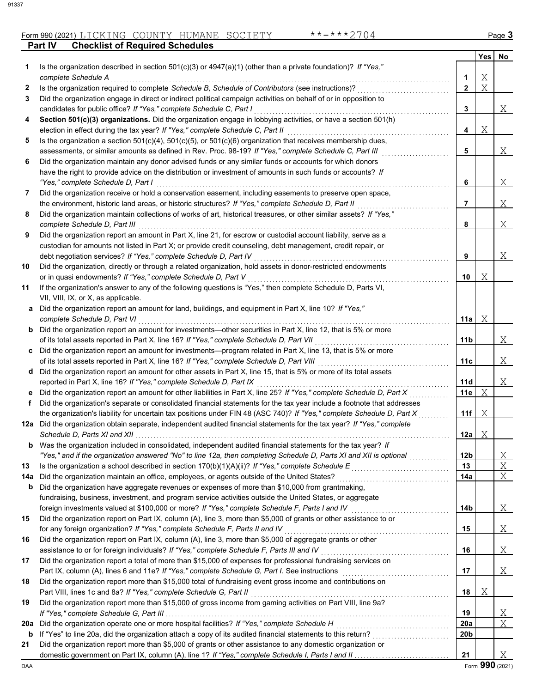## Form 990 (2021) LICKING COUNTY HUMANE SOCIETY \*\*-\*\*\*2704 Page **3**

**Part IV Checklist of Required Schedules**

|     |                                                                                                                                                                                                                                 |                 | Yes | No     |
|-----|---------------------------------------------------------------------------------------------------------------------------------------------------------------------------------------------------------------------------------|-----------------|-----|--------|
| 1   | Is the organization described in section $501(c)(3)$ or $4947(a)(1)$ (other than a private foundation)? If "Yes,"                                                                                                               |                 |     |        |
|     | complete Schedule A                                                                                                                                                                                                             | 1               | Χ   |        |
| 2   | Is the organization required to complete Schedule B, Schedule of Contributors (see instructions)?                                                                                                                               | $\overline{2}$  | X   |        |
| 3   | Did the organization engage in direct or indirect political campaign activities on behalf of or in opposition to                                                                                                                |                 |     |        |
|     | candidates for public office? If "Yes," complete Schedule C, Part I                                                                                                                                                             | 3               |     | Χ      |
| 4   | Section 501(c)(3) organizations. Did the organization engage in lobbying activities, or have a section 501(h)                                                                                                                   | 4               |     |        |
|     | election in effect during the tax year? If "Yes," complete Schedule C, Part II                                                                                                                                                  |                 | Χ   |        |
| 5   | Is the organization a section $501(c)(4)$ , $501(c)(5)$ , or $501(c)(6)$ organization that receives membership dues,<br>assessments, or similar amounts as defined in Rev. Proc. 98-19? If "Yes," complete Schedule C, Part III | 5               |     | Χ      |
| 6   | Did the organization maintain any donor advised funds or any similar funds or accounts for which donors                                                                                                                         |                 |     |        |
|     | have the right to provide advice on the distribution or investment of amounts in such funds or accounts? If                                                                                                                     |                 |     |        |
|     | "Yes," complete Schedule D, Part I                                                                                                                                                                                              | 6               |     | Χ      |
| 7   | Did the organization receive or hold a conservation easement, including easements to preserve open space,                                                                                                                       |                 |     |        |
|     | the environment, historic land areas, or historic structures? If "Yes," complete Schedule D, Part II                                                                                                                            | 7               |     | Χ      |
| 8   | Did the organization maintain collections of works of art, historical treasures, or other similar assets? If "Yes,"                                                                                                             |                 |     |        |
|     | complete Schedule D, Part III                                                                                                                                                                                                   | 8               |     | Χ      |
| 9   | Did the organization report an amount in Part X, line 21, for escrow or custodial account liability, serve as a                                                                                                                 |                 |     |        |
|     | custodian for amounts not listed in Part X; or provide credit counseling, debt management, credit repair, or                                                                                                                    |                 |     |        |
|     | debt negotiation services? If "Yes," complete Schedule D, Part IV                                                                                                                                                               | 9               |     | Χ      |
| 10  | Did the organization, directly or through a related organization, hold assets in donor-restricted endowments                                                                                                                    |                 |     |        |
|     | or in quasi endowments? If "Yes," complete Schedule D, Part V                                                                                                                                                                   | 10              | Χ   |        |
| 11  | If the organization's answer to any of the following questions is "Yes," then complete Schedule D, Parts VI,                                                                                                                    |                 |     |        |
|     | VII, VIII, IX, or X, as applicable.                                                                                                                                                                                             |                 |     |        |
| а   | Did the organization report an amount for land, buildings, and equipment in Part X, line 10? If "Yes,"                                                                                                                          |                 |     |        |
|     | complete Schedule D, Part VI                                                                                                                                                                                                    | 11a             | Χ   |        |
|     | <b>b</b> Did the organization report an amount for investments—other securities in Part X, line 12, that is 5% or more                                                                                                          |                 |     |        |
|     | of its total assets reported in Part X, line 16? If "Yes," complete Schedule D, Part VII                                                                                                                                        | 11b             |     | Χ      |
|     | Did the organization report an amount for investments—program related in Part X, line 13, that is 5% or more                                                                                                                    |                 |     |        |
|     | of its total assets reported in Part X, line 16? If "Yes," complete Schedule D, Part VIII                                                                                                                                       | 11c             |     | Χ      |
|     | d Did the organization report an amount for other assets in Part X, line 15, that is 5% or more of its total assets                                                                                                             |                 |     |        |
|     | reported in Part X, line 16? If "Yes," complete Schedule D, Part IX                                                                                                                                                             | 11d             |     | Χ      |
|     | Did the organization report an amount for other liabilities in Part X, line 25? If "Yes," complete Schedule D, Part X                                                                                                           | 11e             | Χ   |        |
| f   | Did the organization's separate or consolidated financial statements for the tax year include a footnote that addresses                                                                                                         |                 |     |        |
|     | the organization's liability for uncertain tax positions under FIN 48 (ASC 740)? If "Yes," complete Schedule D, Part X                                                                                                          | 11f             | Χ   |        |
|     | 12a Did the organization obtain separate, independent audited financial statements for the tax year? If "Yes," complete                                                                                                         |                 |     |        |
|     | Schedule D, Parts XI and XII.<br><b>b</b> Was the organization included in consolidated, independent audited financial statements for the tax year? If                                                                          | 12a             | Χ   |        |
|     | "Yes," and if the organization answered "No" to line 12a, then completing Schedule D, Parts XI and XII is optional                                                                                                              | 12 <sub>b</sub> |     |        |
| 13  | Is the organization a school described in section 170(b)(1)(A)(ii)? If "Yes," complete Schedule $E$                                                                                                                             | 13              |     | X<br>Χ |
| 14a | Did the organization maintain an office, employees, or agents outside of the United States?                                                                                                                                     | 14a             |     | Χ      |
| b   | Did the organization have aggregate revenues or expenses of more than \$10,000 from grantmaking,                                                                                                                                |                 |     |        |
|     | fundraising, business, investment, and program service activities outside the United States, or aggregate                                                                                                                       |                 |     |        |
|     | foreign investments valued at \$100,000 or more? If "Yes," complete Schedule F, Parts I and IV                                                                                                                                  | 14b             |     | X      |
| 15  | Did the organization report on Part IX, column (A), line 3, more than \$5,000 of grants or other assistance to or                                                                                                               |                 |     |        |
|     | for any foreign organization? If "Yes," complete Schedule F, Parts II and IV                                                                                                                                                    | 15              |     | Χ      |
| 16  | Did the organization report on Part IX, column (A), line 3, more than \$5,000 of aggregate grants or other                                                                                                                      |                 |     |        |
|     | assistance to or for foreign individuals? If "Yes," complete Schedule F, Parts III and IV                                                                                                                                       | 16              |     | Χ      |
| 17  | Did the organization report a total of more than \$15,000 of expenses for professional fundraising services on                                                                                                                  |                 |     |        |
|     |                                                                                                                                                                                                                                 | 17              |     | Χ      |
| 18  | Did the organization report more than \$15,000 total of fundraising event gross income and contributions on                                                                                                                     |                 |     |        |
|     | Part VIII, lines 1c and 8a? If "Yes," complete Schedule G, Part II                                                                                                                                                              | 18              | Χ   |        |
| 19  | Did the organization report more than \$15,000 of gross income from gaming activities on Part VIII, line 9a?                                                                                                                    |                 |     |        |
|     |                                                                                                                                                                                                                                 | 19              |     | X      |
| 20a | Did the organization operate one or more hospital facilities? If "Yes," complete Schedule H                                                                                                                                     | 20a             |     | Χ      |
| b   |                                                                                                                                                                                                                                 | 20b             |     |        |
| 21  | Did the organization report more than \$5,000 of grants or other assistance to any domestic organization or                                                                                                                     |                 |     |        |
|     |                                                                                                                                                                                                                                 | 21              |     | Χ      |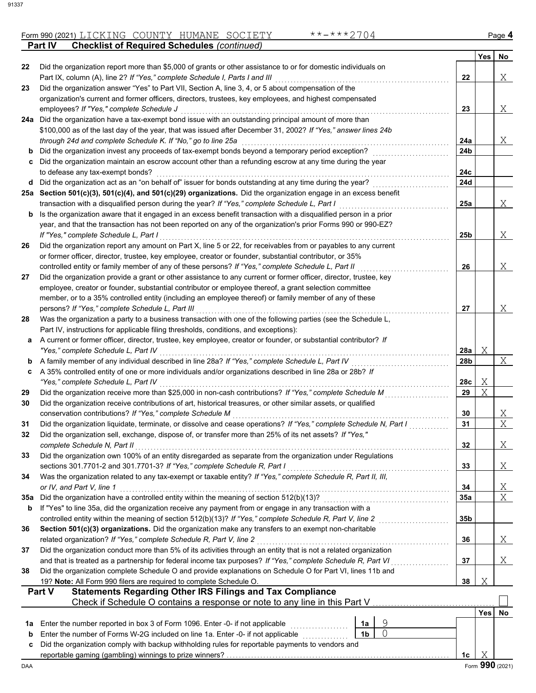## Form 990 (2021) LICKING COUNTY HUMANE SOCIETY \*\*-\*\*\*2704 Page **4 Part IV Checklist of Required Schedules** *(continued)*

|          |                                                                                                                                                                   |                |   |                 | <b>Yes</b> | No              |
|----------|-------------------------------------------------------------------------------------------------------------------------------------------------------------------|----------------|---|-----------------|------------|-----------------|
| 22       | Did the organization report more than \$5,000 of grants or other assistance to or for domestic individuals on                                                     |                |   |                 |            |                 |
|          | Part IX, column (A), line 2? If "Yes," complete Schedule I, Parts I and III                                                                                       |                |   | 22              |            | Χ               |
| 23       | Did the organization answer "Yes" to Part VII, Section A, line 3, 4, or 5 about compensation of the                                                               |                |   |                 |            |                 |
|          | organization's current and former officers, directors, trustees, key employees, and highest compensated                                                           |                |   |                 |            |                 |
|          | employees? If "Yes," complete Schedule J<br>24a Did the organization have a tax-exempt bond issue with an outstanding principal amount of more than               |                |   | 23              |            | Χ               |
|          | \$100,000 as of the last day of the year, that was issued after December 31, 2002? If "Yes," answer lines 24b                                                     |                |   |                 |            |                 |
|          | through 24d and complete Schedule K. If "No," go to line 25a                                                                                                      |                |   | 24a             |            | Χ               |
| b        | Did the organization invest any proceeds of tax-exempt bonds beyond a temporary period exception?                                                                 |                |   | 24 <sub>b</sub> |            |                 |
| c        | Did the organization maintain an escrow account other than a refunding escrow at any time during the year                                                         |                |   |                 |            |                 |
|          | to defease any tax-exempt bonds?                                                                                                                                  |                |   | 24c             |            |                 |
| d        | Did the organization act as an "on behalf of" issuer for bonds outstanding at any time during the year?                                                           |                |   | 24d             |            |                 |
|          | 25a Section 501(c)(3), 501(c)(4), and 501(c)(29) organizations. Did the organization engage in an excess benefit                                                  |                |   |                 |            |                 |
|          | transaction with a disqualified person during the year? If "Yes," complete Schedule L, Part I                                                                     |                |   | 25a             |            | Χ               |
| b        | Is the organization aware that it engaged in an excess benefit transaction with a disqualified person in a prior                                                  |                |   |                 |            |                 |
|          | year, and that the transaction has not been reported on any of the organization's prior Forms 990 or 990-EZ?                                                      |                |   |                 |            |                 |
|          | If "Yes," complete Schedule L, Part I                                                                                                                             |                |   | 25b             |            | Χ               |
| 26       | Did the organization report any amount on Part X, line 5 or 22, for receivables from or payables to any current                                                   |                |   |                 |            |                 |
|          | or former officer, director, trustee, key employee, creator or founder, substantial contributor, or 35%                                                           |                |   |                 |            |                 |
|          | controlled entity or family member of any of these persons? If "Yes," complete Schedule L, Part II                                                                |                |   | 26              |            | Χ               |
| 27       | Did the organization provide a grant or other assistance to any current or former officer, director, trustee, key                                                 |                |   |                 |            |                 |
|          | employee, creator or founder, substantial contributor or employee thereof, a grant selection committee                                                            |                |   |                 |            |                 |
|          | member, or to a 35% controlled entity (including an employee thereof) or family member of any of these                                                            |                |   |                 |            |                 |
|          | persons? If "Yes," complete Schedule L, Part III<br>Was the organization a party to a business transaction with one of the following parties (see the Schedule L, |                |   | 27              |            | Χ               |
| 28       | Part IV, instructions for applicable filing thresholds, conditions, and exceptions):                                                                              |                |   |                 |            |                 |
| а        | A current or former officer, director, trustee, key employee, creator or founder, or substantial contributor? If                                                  |                |   |                 |            |                 |
|          | "Yes," complete Schedule L, Part IV                                                                                                                               |                |   | 28a             | Χ          |                 |
| b        | A family member of any individual described in line 28a? If "Yes," complete Schedule L, Part IV                                                                   |                |   | 28b             |            | Χ               |
| c        | A 35% controlled entity of one or more individuals and/or organizations described in line 28a or 28b? If                                                          |                |   |                 |            |                 |
|          | "Yes," complete Schedule L, Part IV                                                                                                                               |                |   | 28c             | Χ          |                 |
| 29       | Did the organization receive more than \$25,000 in non-cash contributions? If "Yes," complete Schedule M                                                          |                |   | 29              | Χ          |                 |
| 30       | Did the organization receive contributions of art, historical treasures, or other similar assets, or qualified                                                    |                |   |                 |            |                 |
|          | conservation contributions? If "Yes," complete Schedule M                                                                                                         |                |   | 30              |            | X               |
| 31       | Did the organization liquidate, terminate, or dissolve and cease operations? If "Yes," complete Schedule N, Part I                                                |                |   | 31              |            | X               |
| 32       | Did the organization sell, exchange, dispose of, or transfer more than 25% of its net assets? If "Yes,"                                                           |                |   |                 |            |                 |
|          | complete Schedule N, Part II                                                                                                                                      |                |   | 32              |            | Χ               |
| 33       | Did the organization own 100% of an entity disregarded as separate from the organization under Regulations                                                        |                |   |                 |            |                 |
|          | sections 301.7701-2 and 301.7701-3? If "Yes," complete Schedule R, Part I                                                                                         |                |   | 33              |            | Χ               |
| 34       | Was the organization related to any tax-exempt or taxable entity? If "Yes," complete Schedule R, Part II, III,<br>or IV, and Part V, line 1                       |                |   |                 |            |                 |
|          | Did the organization have a controlled entity within the meaning of section 512(b)(13)?                                                                           |                |   | 34<br>35a       |            | Χ<br>X          |
| 35a<br>b | If "Yes" to line 35a, did the organization receive any payment from or engage in any transaction with a                                                           |                |   |                 |            |                 |
|          | controlled entity within the meaning of section 512(b)(13)? If "Yes," complete Schedule R, Part V, line 2                                                         |                |   | 35 <sub>b</sub> |            |                 |
| 36       | Section 501(c)(3) organizations. Did the organization make any transfers to an exempt non-charitable                                                              |                |   |                 |            |                 |
|          | related organization? If "Yes," complete Schedule R, Part V, line 2                                                                                               |                |   | 36              |            | Χ               |
| 37       | Did the organization conduct more than 5% of its activities through an entity that is not a related organization                                                  |                |   |                 |            |                 |
|          | and that is treated as a partnership for federal income tax purposes? If "Yes," complete Schedule R, Part VI                                                      |                |   | 37              |            | Χ               |
| 38       | Did the organization complete Schedule O and provide explanations on Schedule O for Part VI, lines 11b and                                                        |                |   |                 |            |                 |
|          | 19? Note: All Form 990 filers are required to complete Schedule O.                                                                                                |                |   | 38              | Χ          |                 |
|          | <b>Statements Regarding Other IRS Filings and Tax Compliance</b><br><b>Part V</b>                                                                                 |                |   |                 |            |                 |
|          | Check if Schedule O contains a response or note to any line in this Part V                                                                                        |                |   |                 |            |                 |
|          |                                                                                                                                                                   |                |   |                 | <b>Yes</b> | No              |
| 1а       | Enter the number reported in box 3 of Form 1096. Enter -0- if not applicable                                                                                      | 1a             | 9 |                 |            |                 |
| b        | Enter the number of Forms W-2G included on line 1a. Enter -0- if not applicable                                                                                   | 1 <sub>b</sub> | 0 |                 |            |                 |
| c        | Did the organization comply with backup withholding rules for reportable payments to vendors and                                                                  |                |   | 1c              | Χ          |                 |
| DAA      |                                                                                                                                                                   |                |   |                 |            | Form 990 (2021) |
|          |                                                                                                                                                                   |                |   |                 |            |                 |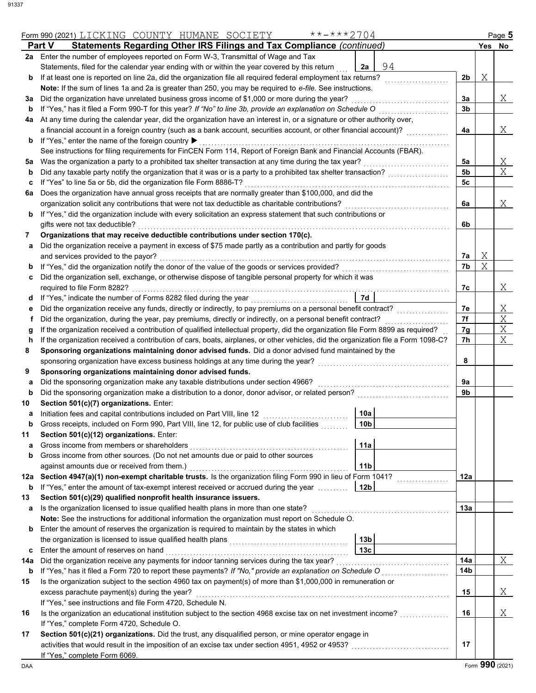|          | $******2704$<br>Form 990 (2021) LICKING COUNTY HUMANE SOCIETY                                                                                                                                           |                 |                |   | Page 5          |
|----------|---------------------------------------------------------------------------------------------------------------------------------------------------------------------------------------------------------|-----------------|----------------|---|-----------------|
|          | Part V<br>Statements Regarding Other IRS Filings and Tax Compliance (continued)                                                                                                                         |                 |                |   | Yes No          |
|          | 2a Enter the number of employees reported on Form W-3, Transmittal of Wage and Tax                                                                                                                      |                 |                |   |                 |
|          | Statements, filed for the calendar year ending with or within the year covered by this return                                                                                                           | 94<br>2a        |                |   |                 |
| b        | If at least one is reported on line 2a, did the organization file all required federal employment tax returns?                                                                                          |                 | 2 <sub>b</sub> | Χ |                 |
|          | Note: If the sum of lines 1a and 2a is greater than 250, you may be required to e-file. See instructions.                                                                                               |                 |                |   |                 |
| За       | Did the organization have unrelated business gross income of \$1,000 or more during the year?                                                                                                           |                 | За             |   | Χ               |
| b        | If "Yes," has it filed a Form 990-T for this year? If "No" to line 3b, provide an explanation on Schedule O                                                                                             |                 | 3b             |   |                 |
|          | 4a At any time during the calendar year, did the organization have an interest in, or a signature or other authority over,                                                                              |                 |                |   |                 |
|          | a financial account in a foreign country (such as a bank account, securities account, or other financial account)?                                                                                      |                 | 4a             |   | Χ               |
| b        | If "Yes," enter the name of the foreign country ▶                                                                                                                                                       |                 |                |   |                 |
|          | See instructions for filing requirements for FinCEN Form 114, Report of Foreign Bank and Financial Accounts (FBAR).                                                                                     |                 |                |   |                 |
| 5a       | Was the organization a party to a prohibited tax shelter transaction at any time during the tax year?                                                                                                   |                 | 5a             |   | Χ               |
| b        | Did any taxable party notify the organization that it was or is a party to a prohibited tax shelter transaction?                                                                                        |                 | 5 <sub>b</sub> |   | X               |
| c        | If "Yes" to line 5a or 5b, did the organization file Form 8886-T?                                                                                                                                       |                 | 5с             |   |                 |
| 6а       | Does the organization have annual gross receipts that are normally greater than \$100,000, and did the                                                                                                  |                 |                |   |                 |
|          | organization solicit any contributions that were not tax deductible as charitable contributions?                                                                                                        |                 | 6a             |   | Χ               |
| b        | If "Yes," did the organization include with every solicitation an express statement that such contributions or                                                                                          |                 |                |   |                 |
|          | gifts were not tax deductible?                                                                                                                                                                          |                 | 6b             |   |                 |
| 7        | Organizations that may receive deductible contributions under section 170(c).                                                                                                                           |                 |                |   |                 |
| a        | Did the organization receive a payment in excess of \$75 made partly as a contribution and partly for goods                                                                                             |                 |                |   |                 |
|          | and services provided to the payor?                                                                                                                                                                     |                 | 7a             | Χ |                 |
| b        | If "Yes," did the organization notify the donor of the value of the goods or services provided?                                                                                                         |                 | 7b             | X |                 |
| c        | Did the organization sell, exchange, or otherwise dispose of tangible personal property for which it was                                                                                                |                 |                |   |                 |
|          | required to file Form 8282?                                                                                                                                                                             |                 | 7c             |   | Χ               |
| d        |                                                                                                                                                                                                         | <b>7d</b>       |                |   |                 |
|          | Did the organization receive any funds, directly or indirectly, to pay premiums on a personal benefit contract?                                                                                         |                 | 7е             |   | Χ               |
| е<br>f   | Did the organization, during the year, pay premiums, directly or indirectly, on a personal benefit contract?                                                                                            |                 | 7f             |   | Χ               |
|          | If the organization received a contribution of qualified intellectual property, did the organization file Form 8899 as required?                                                                        |                 | 7g             |   | Χ               |
| g        | If the organization received a contribution of cars, boats, airplanes, or other vehicles, did the organization file a Form 1098-C?                                                                      |                 | 7h             |   | X               |
| h<br>8   | Sponsoring organizations maintaining donor advised funds. Did a donor advised fund maintained by the                                                                                                    |                 |                |   |                 |
|          |                                                                                                                                                                                                         |                 |                |   |                 |
|          | sponsoring organization have excess business holdings at any time during the year?                                                                                                                      |                 | 8              |   |                 |
| 9        | Sponsoring organizations maintaining donor advised funds.                                                                                                                                               |                 |                |   |                 |
| a        | Did the sponsoring organization make any taxable distributions under section 4966?                                                                                                                      |                 | 9a             |   |                 |
| b        | Did the sponsoring organization make a distribution to a donor, donor advisor, or related person?                                                                                                       |                 | 9b             |   |                 |
| 10       | Section 501(c)(7) organizations. Enter:                                                                                                                                                                 | 10a             |                |   |                 |
| а        | Initiation fees and capital contributions included on Part VIII, line 12<br>Gross receipts, included on Form 990, Part VIII, line 12, for public use of club facilities                                 | 10 <sub>b</sub> |                |   |                 |
|          |                                                                                                                                                                                                         |                 |                |   |                 |
| 11       | Section 501(c)(12) organizations. Enter:<br>Gross income from members or shareholders                                                                                                                   |                 |                |   |                 |
| a        | Gross income from other sources. (Do not net amounts due or paid to other sources                                                                                                                       | 11a             |                |   |                 |
| b        |                                                                                                                                                                                                         |                 |                |   |                 |
|          | against amounts due or received from them.)                                                                                                                                                             | 11 <sub>b</sub> | 12a            |   |                 |
| b        | 12a Section 4947(a)(1) non-exempt charitable trusts. Is the organization filing Form 990 in lieu of Form 1041?<br>If "Yes," enter the amount of tax-exempt interest received or accrued during the year | 12 <sub>b</sub> |                |   |                 |
| 13       | Section 501(c)(29) qualified nonprofit health insurance issuers.                                                                                                                                        |                 |                |   |                 |
|          | Is the organization licensed to issue qualified health plans in more than one state?                                                                                                                    |                 | 13а            |   |                 |
| a        | Note: See the instructions for additional information the organization must report on Schedule O.                                                                                                       |                 |                |   |                 |
| b        | Enter the amount of reserves the organization is required to maintain by the states in which                                                                                                            |                 |                |   |                 |
|          |                                                                                                                                                                                                         | 13 <sub>b</sub> |                |   |                 |
|          | Enter the amount of reserves on hand                                                                                                                                                                    | 13 <sub>c</sub> |                |   |                 |
| c<br>14a | Did the organization receive any payments for indoor tanning services during the tax year?                                                                                                              |                 | 14a            |   | $\mathbf X$     |
| b        | If "Yes," has it filed a Form 720 to report these payments? If "No," provide an explanation on Schedule O                                                                                               |                 | 14b            |   |                 |
| 15       | Is the organization subject to the section 4960 tax on payment(s) of more than \$1,000,000 in remuneration or                                                                                           |                 |                |   |                 |
|          |                                                                                                                                                                                                         |                 | 15             |   | Χ               |
|          | excess parachute payment(s) during the year?                                                                                                                                                            |                 |                |   |                 |
|          | If "Yes," see instructions and file Form 4720, Schedule N.                                                                                                                                              |                 |                |   |                 |
| 16       | Is the organization an educational institution subject to the section 4968 excise tax on net investment income?                                                                                         |                 | 16             |   | Χ               |
|          | If "Yes," complete Form 4720, Schedule O.                                                                                                                                                               |                 |                |   |                 |
| 17       | Section 501(c)(21) organizations. Did the trust, any disqualified person, or mine operator engage in                                                                                                    |                 |                |   |                 |
|          |                                                                                                                                                                                                         |                 | 17             |   |                 |
|          | If "Yes," complete Form 6069.                                                                                                                                                                           |                 |                |   | Form 990 (2021) |
| DAA      |                                                                                                                                                                                                         |                 |                |   |                 |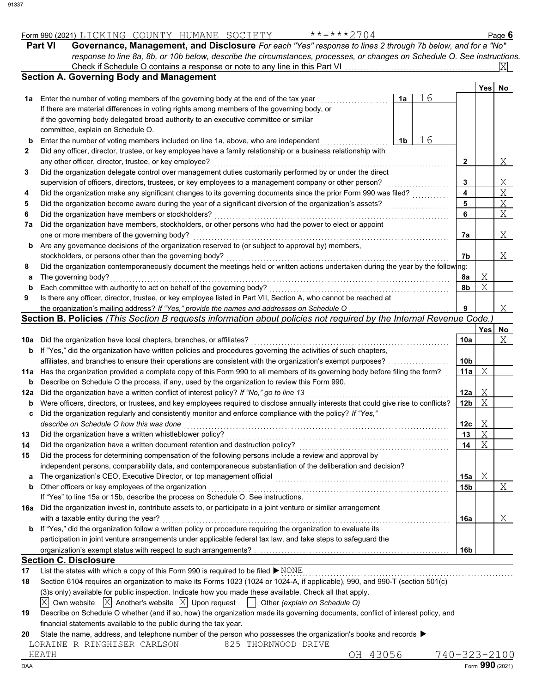|          | Part VI<br>Governance, Management, and Disclosure For each "Yes" response to lines 2 through 7b below, and for a "No"                                                                                              |                         |     |                |  |  |
|----------|--------------------------------------------------------------------------------------------------------------------------------------------------------------------------------------------------------------------|-------------------------|-----|----------------|--|--|
|          | response to line 8a, 8b, or 10b below, describe the circumstances, processes, or changes on Schedule O. See instructions.<br>Check if Schedule O contains a response or note to any line in this Part VI           |                         |     |                |  |  |
|          | <b>Section A. Governing Body and Management</b>                                                                                                                                                                    |                         |     |                |  |  |
|          |                                                                                                                                                                                                                    |                         | Yes | No             |  |  |
| 1a       | 16<br>Enter the number of voting members of the governing body at the end of the tax year<br>1a                                                                                                                    |                         |     |                |  |  |
|          | If there are material differences in voting rights among members of the governing body, or                                                                                                                         |                         |     |                |  |  |
|          | if the governing body delegated broad authority to an executive committee or similar                                                                                                                               |                         |     |                |  |  |
|          | committee, explain on Schedule O.                                                                                                                                                                                  |                         |     |                |  |  |
| b        | 16<br>1 <sub>b</sub><br>Enter the number of voting members included on line 1a, above, who are independent                                                                                                         |                         |     |                |  |  |
| 2        | Did any officer, director, trustee, or key employee have a family relationship or a business relationship with                                                                                                     |                         |     |                |  |  |
|          | any other officer, director, trustee, or key employee?                                                                                                                                                             | 2                       |     | Χ              |  |  |
| 3        | Did the organization delegate control over management duties customarily performed by or under the direct                                                                                                          |                         |     |                |  |  |
|          | supervision of officers, directors, trustees, or key employees to a management company or other person?                                                                                                            | 3                       |     | <u>X</u>       |  |  |
| 4        | Did the organization make any significant changes to its governing documents since the prior Form 990 was filed?                                                                                                   | $\overline{\mathbf{4}}$ |     | $\overline{X}$ |  |  |
| 5        | Did the organization become aware during the year of a significant diversion of the organization's assets?                                                                                                         | 5                       |     | $\mathbf{X}$   |  |  |
| 6        | Did the organization have members or stockholders?                                                                                                                                                                 | 6                       |     | X              |  |  |
| 7a       | Did the organization have members, stockholders, or other persons who had the power to elect or appoint                                                                                                            |                         |     |                |  |  |
|          | one or more members of the governing body?                                                                                                                                                                         | 7а                      |     | Χ              |  |  |
| b        | Are any governance decisions of the organization reserved to (or subject to approval by) members,                                                                                                                  |                         |     |                |  |  |
|          | stockholders, or persons other than the governing body?                                                                                                                                                            | 7b                      |     | Χ              |  |  |
| 8        | Did the organization contemporaneously document the meetings held or written actions undertaken during the year by the following:                                                                                  |                         |     |                |  |  |
| a        | The governing body?                                                                                                                                                                                                | 8a                      | Χ   |                |  |  |
| b        | Each committee with authority to act on behalf of the governing body?                                                                                                                                              | 8b                      | Χ   |                |  |  |
| 9        | Is there any officer, director, trustee, or key employee listed in Part VII, Section A, who cannot be reached at                                                                                                   |                         |     |                |  |  |
|          | the organization's mailing address? If "Yes," provide the names and addresses on Schedule O<br>Section B. Policies (This Section B requests information about policies not required by the Internal Revenue Code.) | 9                       |     | Χ              |  |  |
|          |                                                                                                                                                                                                                    |                         | Yes | No             |  |  |
|          | 10a Did the organization have local chapters, branches, or affiliates?                                                                                                                                             | 10a                     |     | Χ              |  |  |
| b        | If "Yes," did the organization have written policies and procedures governing the activities of such chapters,                                                                                                     |                         |     |                |  |  |
|          | affiliates, and branches to ensure their operations are consistent with the organization's exempt purposes?                                                                                                        | 10 <sub>b</sub>         |     |                |  |  |
|          | 11a Has the organization provided a complete copy of this Form 990 to all members of its governing body before filing the form?                                                                                    | 11a                     | X   |                |  |  |
| b        | Describe on Schedule O the process, if any, used by the organization to review this Form 990.                                                                                                                      |                         |     |                |  |  |
| 12a      | Did the organization have a written conflict of interest policy? If "No," go to line 13                                                                                                                            | 12a                     | Χ   |                |  |  |
| b        | Were officers, directors, or trustees, and key employees required to disclose annually interests that could give rise to conflicts?                                                                                |                         |     |                |  |  |
| c        | Did the organization regularly and consistently monitor and enforce compliance with the policy? If "Yes,"                                                                                                          |                         |     |                |  |  |
|          | describe on Schedule O how this was done                                                                                                                                                                           | 12c                     | Χ   |                |  |  |
| 13       | Did the organization have a written whistleblower policy?                                                                                                                                                          | 13                      | X   |                |  |  |
| 14       | Did the organization have a written document retention and destruction policy?                                                                                                                                     |                         |     |                |  |  |
| 15       | Did the process for determining compensation of the following persons include a review and approval by                                                                                                             |                         |     |                |  |  |
|          | independent persons, comparability data, and contemporaneous substantiation of the deliberation and decision?                                                                                                      |                         |     |                |  |  |
| a        | The organization's CEO, Executive Director, or top management official                                                                                                                                             | 15a                     | Χ   |                |  |  |
| b        | Other officers or key employees of the organization                                                                                                                                                                | 15b                     |     | Χ              |  |  |
|          | If "Yes" to line 15a or 15b, describe the process on Schedule O. See instructions.                                                                                                                                 |                         |     |                |  |  |
|          | 16a Did the organization invest in, contribute assets to, or participate in a joint venture or similar arrangement                                                                                                 |                         |     |                |  |  |
|          | with a taxable entity during the year?                                                                                                                                                                             | 16a                     |     | Χ              |  |  |
| b        | If "Yes," did the organization follow a written policy or procedure requiring the organization to evaluate its                                                                                                     |                         |     |                |  |  |
|          | participation in joint venture arrangements under applicable federal tax law, and take steps to safeguard the                                                                                                      |                         |     |                |  |  |
|          |                                                                                                                                                                                                                    | 16b                     |     |                |  |  |
|          | <b>Section C. Disclosure</b><br>List the states with which a copy of this Form 990 is required to be filed > NONE                                                                                                  |                         |     |                |  |  |
| 17<br>18 | Section 6104 requires an organization to make its Forms 1023 (1024 or 1024-A, if applicable), 990, and 990-T (section 501(c)                                                                                       |                         |     |                |  |  |
|          | (3)s only) available for public inspection. Indicate how you made these available. Check all that apply.                                                                                                           |                         |     |                |  |  |
|          | Own website $ \overline{X} $ Another's website $ \overline{X} $ Upon request    <br>ΙX<br>Other (explain on Schedule O)                                                                                            |                         |     |                |  |  |
|          |                                                                                                                                                                                                                    |                         |     |                |  |  |

| 19 Describe on Schedule O whether (and if so, how) the organization made its governing documents, conflict of interest policy, and |
|------------------------------------------------------------------------------------------------------------------------------------|
| financial statements available to the public during the tax year.                                                                  |

| DAA                       |         |           |        |         | 990<br>(2021)<br>Form                             |
|---------------------------|---------|-----------|--------|---------|---------------------------------------------------|
| HEATH                     |         |           |        | ЭH<br>ட | $\overline{4}$<br>$\overline{\phantom{0}}$<br>ى - |
| RINGHISER<br>⊔ORAINE<br>↩ | CARLSON | THORNWOOD | DR TVE |         |                                                   |

|  |  |  | *-***?7∩4 |  |  |
|--|--|--|-----------|--|--|
|  |  |  |           |  |  |

| Form 990 (2021) | LICKING | COUNTY | HUMANE | SOCIETY | ᅩ | Page <b>b</b> |
|-----------------|---------|--------|--------|---------|---|---------------|
|                 |         |        |        |         |   |               |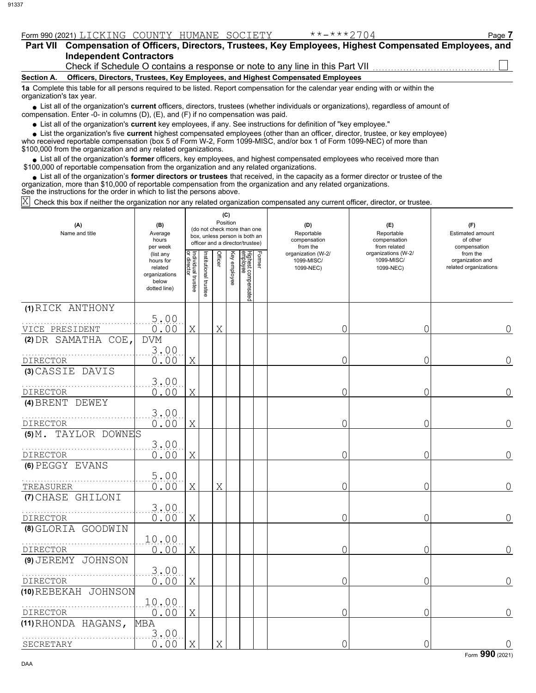|  | Form 990 (2021) |  | . NG<br>' '<br>◡▴◟ | <b>COUNTY</b> | ----------<br>ТM<br>. IV<br>TIOLILINE | ( )<br>エエス | --<br>-- | ' <sup>o</sup> age |
|--|-----------------|--|--------------------|---------------|---------------------------------------|------------|----------|--------------------|
|--|-----------------|--|--------------------|---------------|---------------------------------------|------------|----------|--------------------|

| <b>Part VII</b>          | Compensation of Officers, Directors, Trustees, Key Employees, Highest Compensated Employees, and<br><b>Independent Contractors</b><br>Check if Schedule O contains a response or note to any line in this Part VII <i>containare in the Schedule O contains</i> |
|--------------------------|-----------------------------------------------------------------------------------------------------------------------------------------------------------------------------------------------------------------------------------------------------------------|
|                          |                                                                                                                                                                                                                                                                 |
| Section A.               | Officers, Directors, Trustees, Key Employees, and Highest Compensated Employees                                                                                                                                                                                 |
| organization's tax year. | 1a Complete this table for all persons required to be listed. Report compensation for the calendar year ending with or within the                                                                                                                               |
|                          | • List all of the organization's current officers, directors, trustees (whether individuals or organizations), regardless of amount of<br>compensation. Enter -0- in columns $(D)$ , $(E)$ , and $(F)$ if no compensation was paid.                             |
|                          |                                                                                                                                                                                                                                                                 |

List all of the organization's **current** key employees, if any. See instructions for definition of "key employee."

■ List all of the organization's **current** key employees, if any. See instructions for definition of "key employee."<br>■ List the organization's five **current** highest compensated employees (other than an officer, director,

who received reportable compensation (box 5 of Form W-2, Form 1099-MISC, and/or box 1 of Form 1099-NEC) of more than \$100,000 from the organization and any related organizations.

• List all of the organization's **former** officers, key employees, and highest compensated employees who received more than<br>00,000 of reportable compensation from the organization and any related erganizations. \$100,000 of reportable compensation from the organization and any related organizations.

• List all of the organization's **former directors or trustees** that received, in the capacity as a former director or trustee of the anization more than \$10,000 of reportable compensation from the organization and any rel organization, more than \$10,000 of reportable compensation from the organization and any related organizations. See the instructions for the order in which to list the persons above.

Check this box if neither the organization nor any related organization compensated any current officer, director, or trustee. X

| (A)<br>Name and title                           | (B)<br>Average<br>hours<br>per week                                         |                                   |                      | Position | (C)          | (do not check more than one<br>box, unless person is both an<br>officer and a director/trustee) |        | (D)<br>Reportable<br>compensation<br>from the | (E)<br>Reportable<br>compensation<br>from related | (F)<br><b>Estimated amount</b><br>of other<br>compensation |
|-------------------------------------------------|-----------------------------------------------------------------------------|-----------------------------------|----------------------|----------|--------------|-------------------------------------------------------------------------------------------------|--------|-----------------------------------------------|---------------------------------------------------|------------------------------------------------------------|
|                                                 | (list any<br>hours for<br>related<br>organizations<br>below<br>dotted line) | Individual trustee<br>or director | nstitutional trustee | Officer  | Key employee | Highest compensated<br>employee                                                                 | Former | organization (W-2/<br>1099-MISC/<br>1099-NEC) | organizations (W-2/<br>1099-MISC/<br>1099-NEC)    | from the<br>organization and<br>related organizations      |
| (1) RICK ANTHONY<br>VICE PRESIDENT              | 5.00<br>0.00                                                                | X                                 |                      | Χ        |              |                                                                                                 |        | 0                                             | 0                                                 | 0                                                          |
| (2) DR SAMATHA COE,                             | <b>DVM</b><br>3,00                                                          |                                   |                      |          |              |                                                                                                 |        |                                               |                                                   |                                                            |
| DIRECTOR<br>(3) CASSIE DAVIS                    | 0.00<br>3.00                                                                | X                                 |                      |          |              |                                                                                                 |        | 0                                             | 0                                                 | 0                                                          |
| <b>DIRECTOR</b><br>(4) BRENT DEWEY              | 0.00<br>3.00                                                                | Χ                                 |                      |          |              |                                                                                                 |        | 0                                             | 0                                                 | $\Omega$                                                   |
| <b>DIRECTOR</b><br>TAYLOR DOWNES<br>$(5)$ $M$ . | 0.00                                                                        | X                                 |                      |          |              |                                                                                                 |        | 0                                             | 0                                                 | 0                                                          |
| <b>DIRECTOR</b><br>(6) PEGGY EVANS              | 3.00<br>0.00                                                                | X                                 |                      |          |              |                                                                                                 |        | 0                                             | 0                                                 | 0                                                          |
| TREASURER                                       | 5.00<br>0.00                                                                | X                                 |                      | Χ        |              |                                                                                                 |        | 0                                             | 0                                                 | $\Omega$                                                   |
| (7) CHASE GHILONI<br>DIRECTOR                   | 3.00<br>0.00                                                                | X                                 |                      |          |              |                                                                                                 |        | 0                                             | 0                                                 | 0                                                          |
| (8) GLORIA GOODWIN                              | 10.00                                                                       |                                   |                      |          |              |                                                                                                 |        |                                               |                                                   |                                                            |
| DIRECTOR<br>(9) JEREMY JOHNSON                  | 0.00<br>3.00                                                                | X                                 |                      |          |              |                                                                                                 |        | 0                                             | 0                                                 | 0                                                          |
| <b>DIRECTOR</b><br>(10) REBEKAH JOHNSON         | 0.00<br>10.00                                                               | X                                 |                      |          |              |                                                                                                 |        | 0                                             | Ω                                                 | 0                                                          |
| <b>DIRECTOR</b><br>(11) RHONDA HAGANS,          | 0.00<br>MBA                                                                 | X                                 |                      |          |              |                                                                                                 |        | 0                                             | 0                                                 | $\bigcap$                                                  |
| SECRETARY                                       | 3.00<br>0.00                                                                | X                                 |                      | X        |              |                                                                                                 |        | 0                                             | Ω                                                 | $\overline{0}$                                             |

Form **990** (2021)